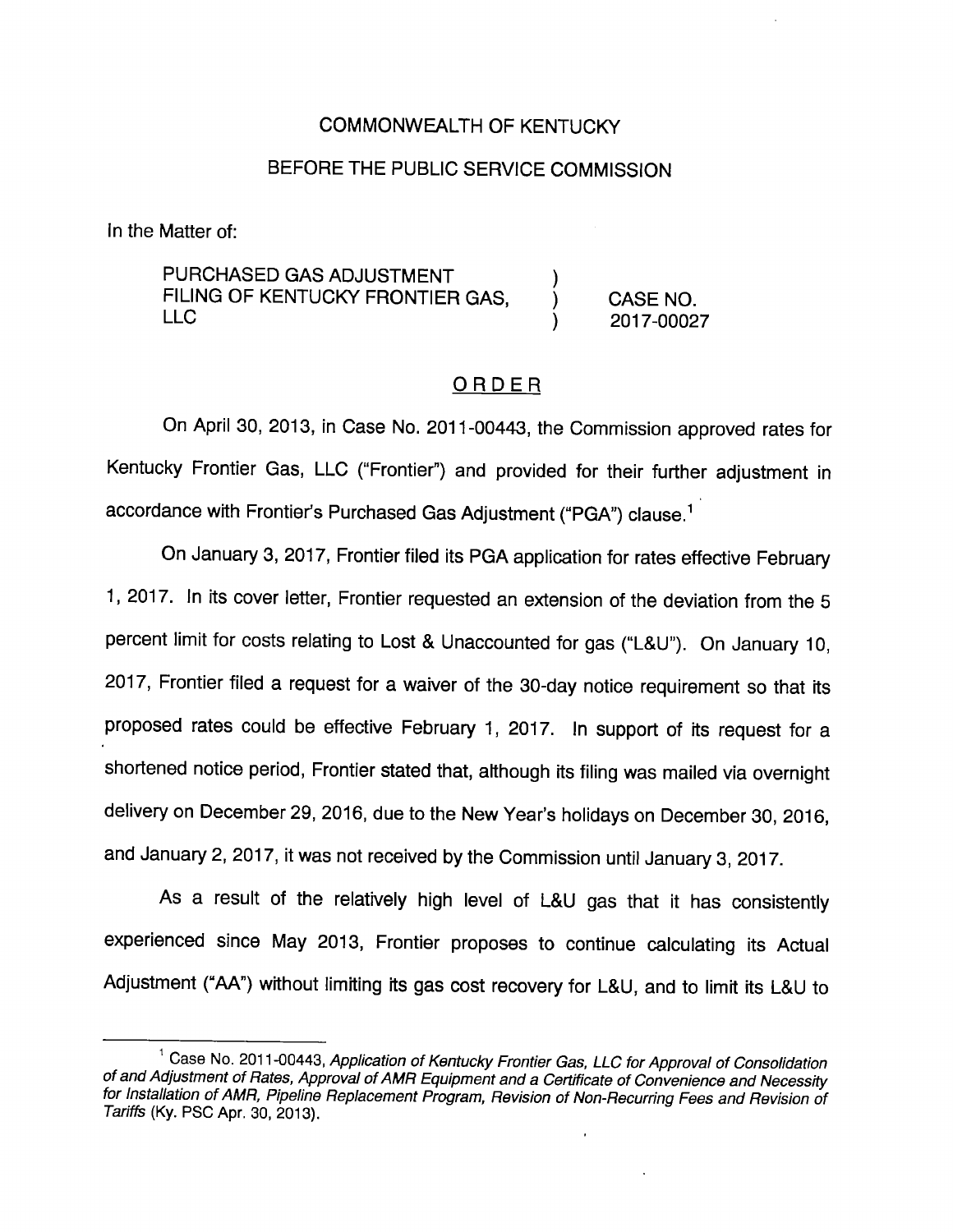#### COMMONWEALTH OF KENTUCKY

#### BEFORE THE PUBLIC SERVICE COMMISSION

In the Matter of:

PURCHASED GAS ADJUSTMENT FILING OF KENTUCKY FRONTIER GAS,  $\overline{a}$  CASE NO. LLC ) 2017-00027

#### **ORDER**

On April 30, 2013, in Case No. 2011-00443, the Commission approved rates for Kentucky Frontier Gas, LLC ("Frontier") and provided for their further adjustment in accordance with Frontier's Purchased Gas Adjustment ("PGA") clause.<sup>1</sup>

On January 3, 2017, Frontier filed its PGA application for rates effective February 1, 2017. In its cover letter. Frontier requested an extension of the deviation from the 5 percent limit for costs relating to Lost & Unaccounted for gas ("L&U"). On January 10, 2017, Frontier filed a request for a waiver of the 30-day notice requirement so that its proposed rates could be effective February 1, 2017. In support of its request for a shortened notice period. Frontier stated that, although its filing was mailed via ovemight delivery on December 29, 2016, due to the New Year's holidays on December 30, 2016, and January 2, 2017, it was not received by the Commission until January 3, 2017.

As a result of the relatively high level of L&U gas that it has consistently experienced since May 2013, Frontier proposes to continue calculating its Actual Adjustment ("AA") without limiting its gas cost recovery for L&U, and to limit its L&U to

 $1$  Case No. 2011-00443, Application of Kentucky Frontier Gas, LLC for Approval of Consolidation of and Adjustment of Rates, Approval of AMR Equipment and a Certificate of Convenience and Necessity for Installation of AMR, Pipeline Replacement Program, Revision of Non-Recurring Fees and Revision of Tariffs (Ky. PSC Apr. 30, 2013).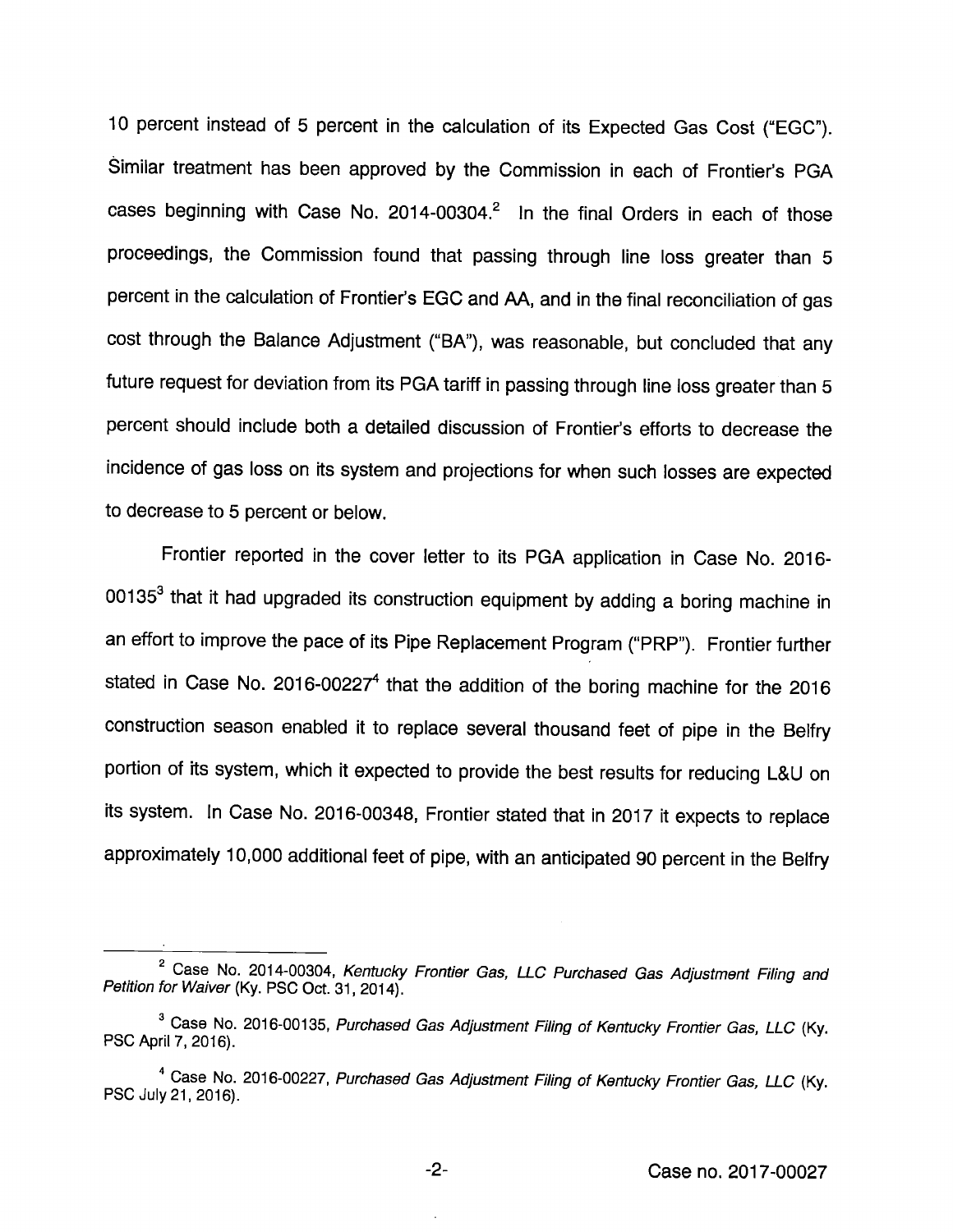10 percent instead of 5 percent in the calculation of its Expected Gas Cost ("EGG"). Similar treatment has been approved by the Commission in each of Frontier's PGA cases beginning with Case No. 2014-00304. $^2$  In the final Orders in each of those proceedings, the Commission found that passing through line loss greater than 5 percent in the calculation of Frontier's EGC and AA, and in the final reconciliation of gas cost through the Balance Adjustment ("BA"), was reasonable, but concluded that any future request for deviation from its PGA tariff in passing through line loss greater than 5 percent should include both a detailed discussion of Frontier's efforts to decrease the incidence of gas loss on its system and projections for when such losses are expected to decrease to 5 percent or below.

Frontier reported in the cover letter to its PGA application in Case No. 2016- 00135<sup>3</sup> that it had upgraded its construction equipment by adding a boring machine in an effort to improve the pace of its Pipe Replacement Program ("PRP"). Frontier further stated in Case No. 2016-00227 $^4$  that the addition of the boring machine for the 2016 construction season enabled it to replace several thousand feet of pipe in the Belfry portion of its system, which it expected to provide the best results for reducing L&U on its system. In Case No. 2016-00348, Frontier stated that in 2017 it expects to replace approximately 10,000 additional feet of pipe, with an anticipated 90 percent in the Belfry

<sup>&</sup>lt;sup>2</sup> Case No. 2014-00304, Kentucky Frontier Gas, LLC Purchased Gas Adjustment Filing and Petition for Waiver (Ky. PSC Oct. 31, 2014).

 $^3$  Case No. 2016-00135, Purchased Gas Adjustment Filing of Kentucky Frontier Gas, LLC (Ky. PSC April 7, 2016).

<sup>&</sup>lt;sup>4</sup> Case No. 2016-00227, Purchased Gas Adjustment Filing of Kentucky Frontier Gas, LLC (Ky. PSC July 21, 2016).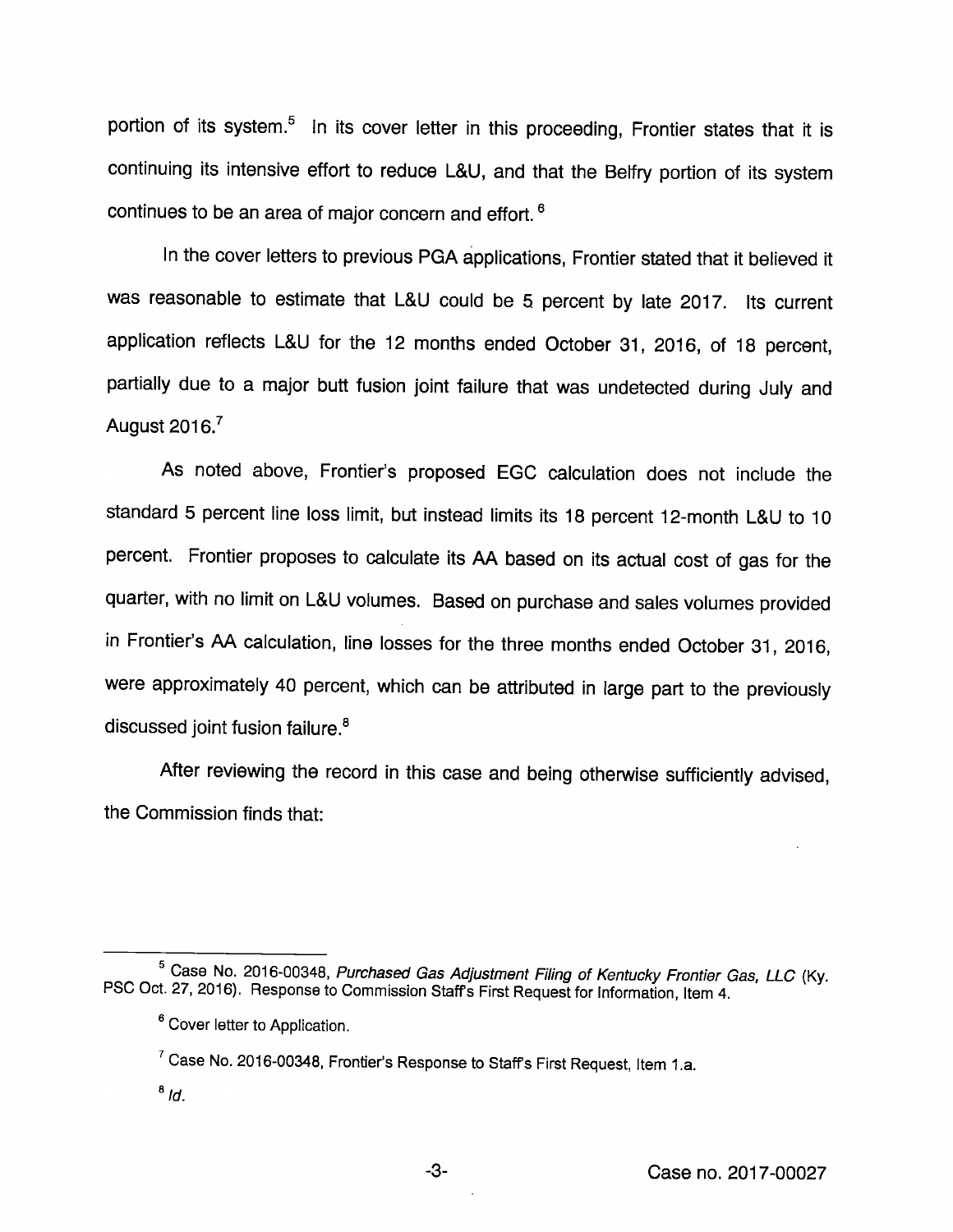portion of its system.<sup>5</sup> In its cover letter in this proceeding, Frontier states that it is continuing its intensive effort to reduce L&U, and that the Betfry portion of its system continues to be an area of major concern and effort. ®

In the cover letters to previous PGA applications, Frontier stated that it believed it was reasonable to estimate that L&U could be 5 percent by late 2017. Its current application reflects L&U for the 12 months ended October 31, 2016, of 18 percent, partially due to a major butt fusion joint failure that was undetected during July and August  $2016.<sup>7</sup>$ 

As noted above. Frontier's proposed EGG calculation does not include the standard 5 percent line loss limit, but instead limits its 18 percent 12-month L&U to 10 percent. Frontier proposes to calculate its AA based on its actual cost of gas for the quarter, with no limit on L&U volumes. Based on purchase and sales volumes provided in Frontier's AA calculation, line losses for the three months ended October 31, 2016, were approximately 40 percent, which can be attributed in large part to the previously discussed joint fusion failure.<sup>8</sup>

After reviewing the record in this case and being otherwise sufficiently advised, the Commission finds that:

<sup>&</sup>lt;sup>5</sup> Case No. 2016-00348, Purchased Gas Adjustment Filing of Kentucky Frontier Gas, LLC (Ky. PSC Oct. 27, 2016). Response to Commission Staff's First Request for Information, Item 4.

<sup>&</sup>lt;sup>6</sup> Cover letter to Application.

 $^7$  Case No. 2016-00348, Frontier's Response to Staff's First Request, Item 1.a.

 $B/d$ .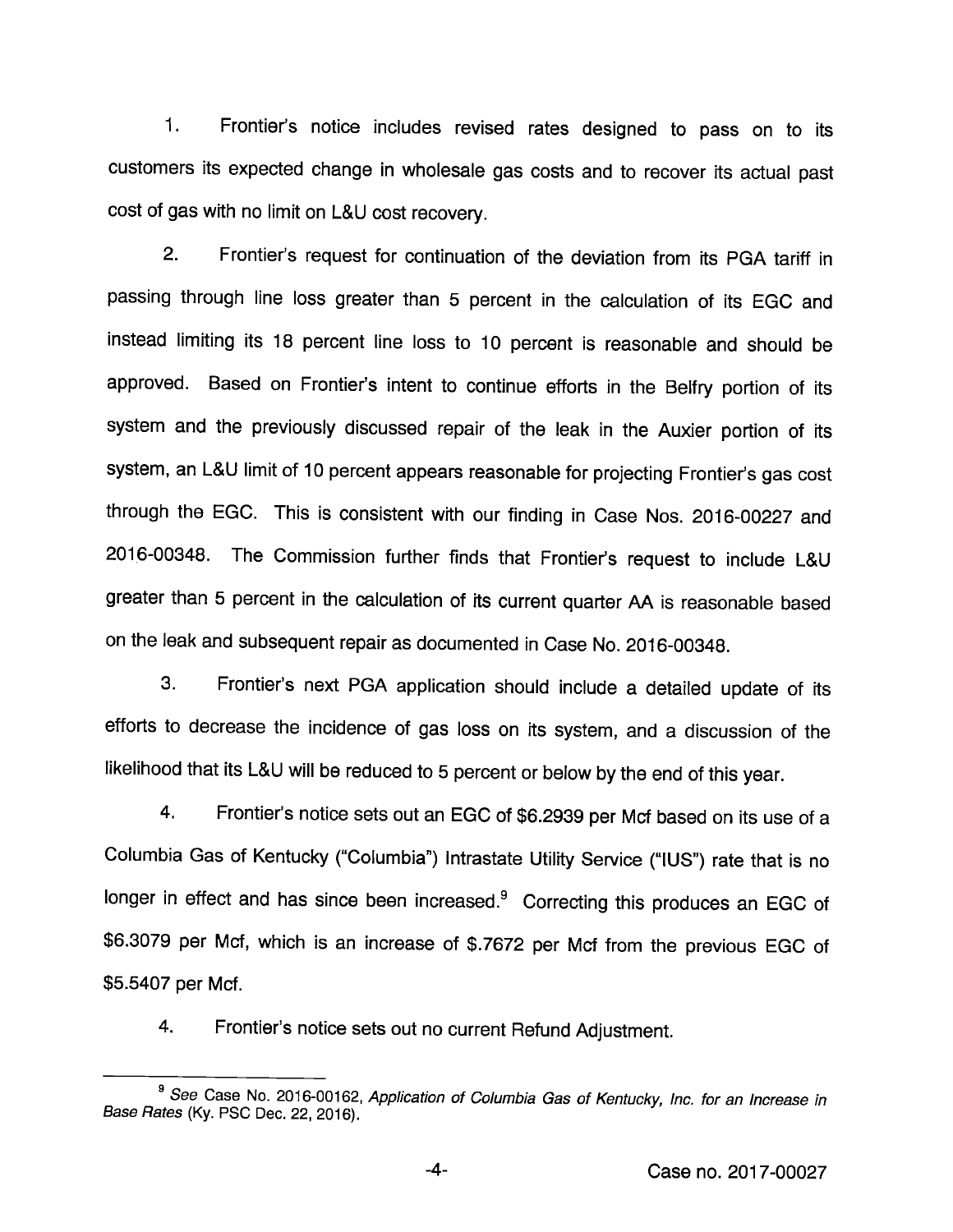1. Frontier's notice includes revised rates designed to pass on to its customers its expected change in wholesale gas costs and to recover its actual past cost of gas with no limit on L&U cost recovery.

2. Frontier's request for continuation of the deviation from its PGA tariff in passing through line loss greater than 5 percent in the calculation of its EGG and instead limiting its 18 percent line loss to 10 percent is reasonable and should be approved. Based on Frontier's intent to continue efforts in the Belfry portion of its system and the previously discussed repair of the leak in the Auxier portion of its system, an L&U limit of 10 percent appears reasonable for projecting Frontier's gas cost through the EGG. This is consistent with our finding in Gase Nos. 2016-00227 and 2016-00348. The Gommission further finds that Frontier's request to include L&U greater than 5 percent in the calculation of its current quarter AA is reasonable based on the leak and subsequent repair as documented in Gase No. 2016-00348.

3. Frontier's next PGA application should include a detailed update of its efforts to decrease the incidence of gas loss on its system, and a discussion of the likelihood that its L&U will be reduced to 5 percent or below by the end of this year.

4. Frontier's notice sets out an EGG of \$6.2939 per Mcf based on its use of a Golumbia Gas of Kentucky ("Golumbia") Intrastate Utility Service ("lUS") rate that is no longer in effect and has since been increased.<sup>9</sup> Correcting this produces an EGC of \$6.3079 per Mcf, which is an increase of \$.7672 per Mcf from the previous EGG of \$5.5407 per Mcf.

4. Frontier's notice sets out no current Refund Adjustment.

<sup>&</sup>lt;sup>9</sup> See Case No. 2016-00162, Application of Columbia Gas of Kentucky, Inc. for an Increase in Base Rates (Ky. PSC Dec. 22, 2016).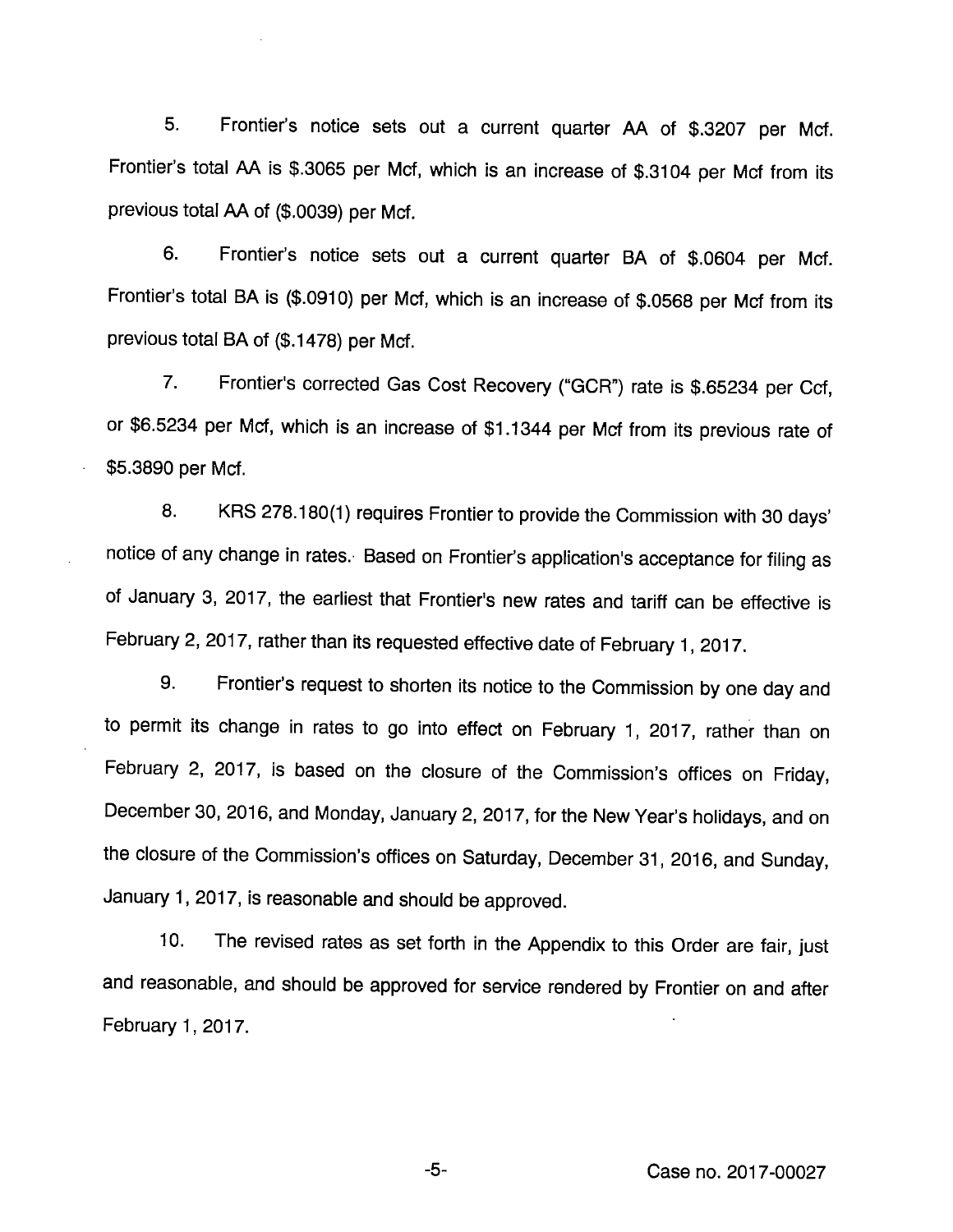5. Frontier's notice sets out a current quarter AA of \$.3207 per Met. Frontier's total AA is \$.3065 per Met, which is an increase of \$.3104 per Mcf from its previous total AA of (\$.0039) per Mcf.

6. Frontier's notice sets out a current quarter BA of \$.0604 per Mcf. Frontier's total BA is (\$.0910) per Mcf, which is an increase of \$.0568 per Mcf from its previous total BAof (\$.1478) per Mcf.

7. Frontier's corrected Gas Cost Recovery ("GOR") rate is \$.65234 per Ccf, or \$6.5234 per Mcf, which is an increase of \$1.1344 per Mcf from its previous rate of \$5.3890 per Mcf.

8. KRS 278.180(1) requires Frontier to provide the Commission with 30 days' notice of any change in rates. Based on Frontier's application's acceptance for filing as of January 3, 2017, the earliest that Frontier's new rates and tariff can be effective is February 2, 2017, rather than its requested effective date of February 1, 2017.

9. Frontier's request to shorten its notice to the Commission by one day and to permit its change in rates to go into effect on February 1, 2017, rather than on February 2, 2017, is based on the closure of the Commission's offices on Friday, December 30, 2016, and Monday, January 2, 2017, for the New Year's holidays, and on the closure of the Commission's offices on Saturday, December 31, 2016, and Sunday, January 1, 2017, is reasonable and should be approved.

10. The revised rates as set forth in the Appendix to this Order are fair, just and reasonable, and should be approved for service rendered by Frontier on and after February 1, 2017.

Case no. 2017-00027

-5-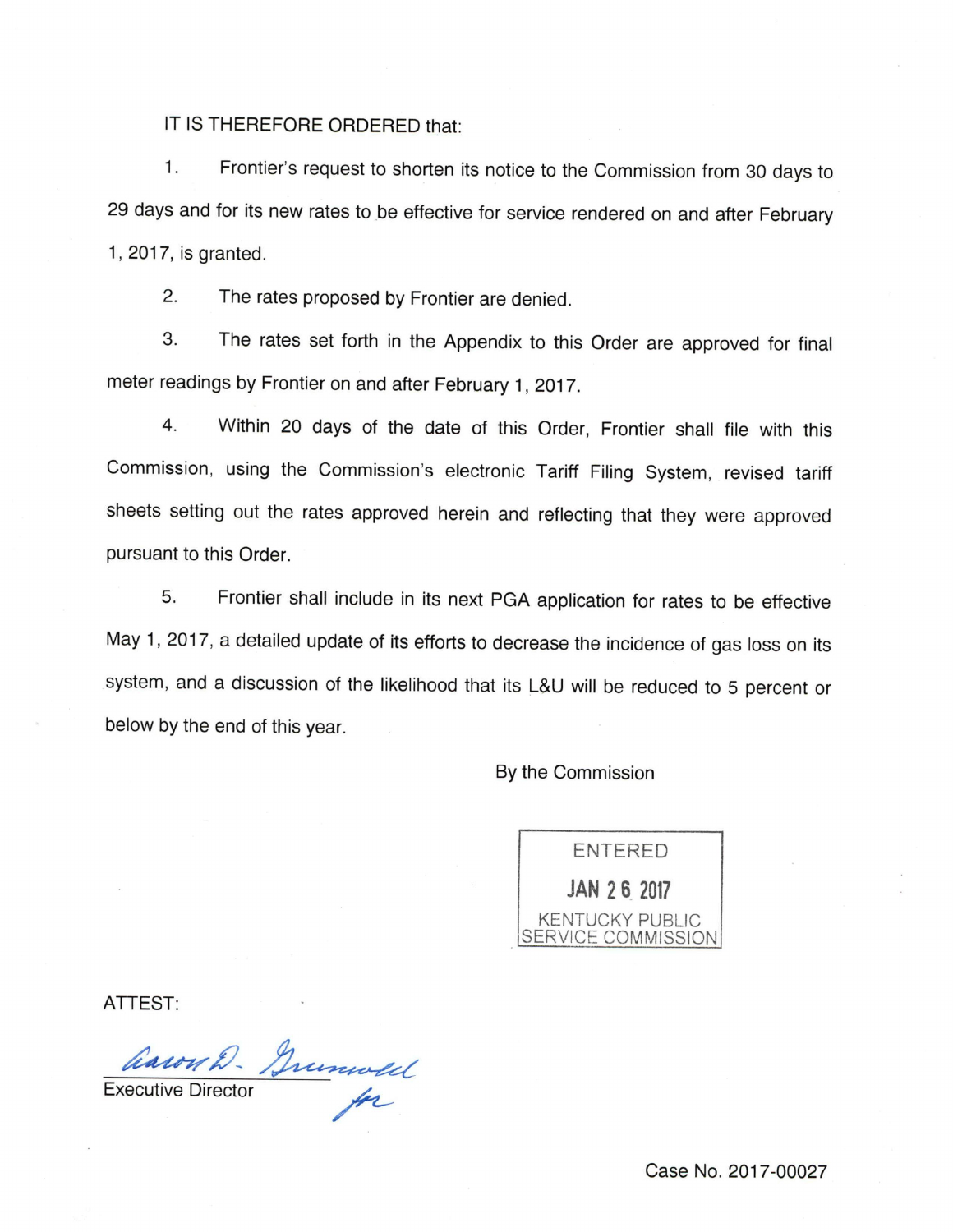IT IS THEREFORE ORDERED that:

1. Frontier's request to shorten its notice to the Commission from 30 days to 29 days and for its new rates to be effective for service rendered on and after February 1, 2017, is granted.

2. The rates proposed by Frontier are denied.

3. The rates set forth in the Appendix to this Order are approved for final meter readings by Frontier on and after February 1, 2017.

4. Within 20 days of the date of this Order, Frontier shall file with this Commission, using the Commission's electronic Tariff Filing System, revised tariff sheets setting out the rates approved herein and reflecting that they were approved pursuant to this Order.

5. Frontier shall include in its next PGA application for rates to be effective May 1, 2017, a detailed update of its efforts to decrease the incidence of gas loss on its system, and a discussion of the likelihood that its L&U will be reduced to 5 percent or below by the end of this year.

By the Commission

ENTERED JAN 2 6 2017 KENTUCKY PUBLIC SERVICE COMMISSION

ATTEST:

Cason D. Grunwell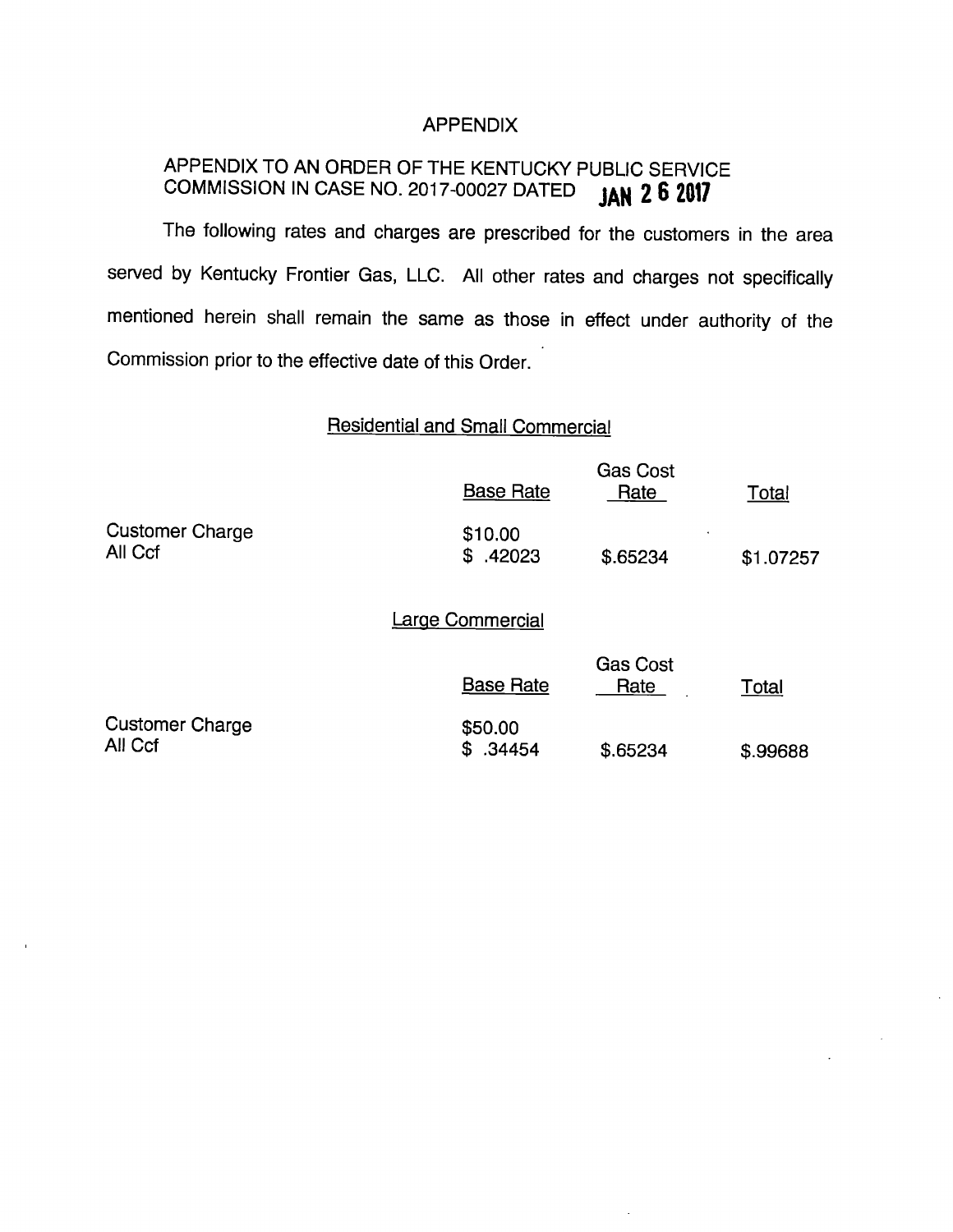#### APPENDIX

## APPENDIX TO AN ORDER OF THE KENTUCKY PUBLIC SERVICE COMMISSION IN CASE NO. 2017-00027 DATED **JAN 2 6 2017**

The following rates and charges are prescribed for the customers in the area served by Kentucky Frontier Gas, LLC. All other rates and charges not specifically mentioned herein shall remain the same as those in effect under authority of the Commission prior to the effective date of this Order.

# Residential and Small Commercial

|                            | <b>Base Rate</b>    | <b>Gas Cost</b><br>Rate | Total     |
|----------------------------|---------------------|-------------------------|-----------|
| Customer Charge<br>All Ccf | \$10.00<br>\$.42023 | \$.65234                | \$1.07257 |

### Large Commercial

|                                   | <b>Base Rate</b>    | <b>Gas Cost</b><br>Rate | Total    |
|-----------------------------------|---------------------|-------------------------|----------|
| <b>Customer Charge</b><br>All Ccf | \$50.00<br>\$.34454 | \$.65234                | \$.99688 |